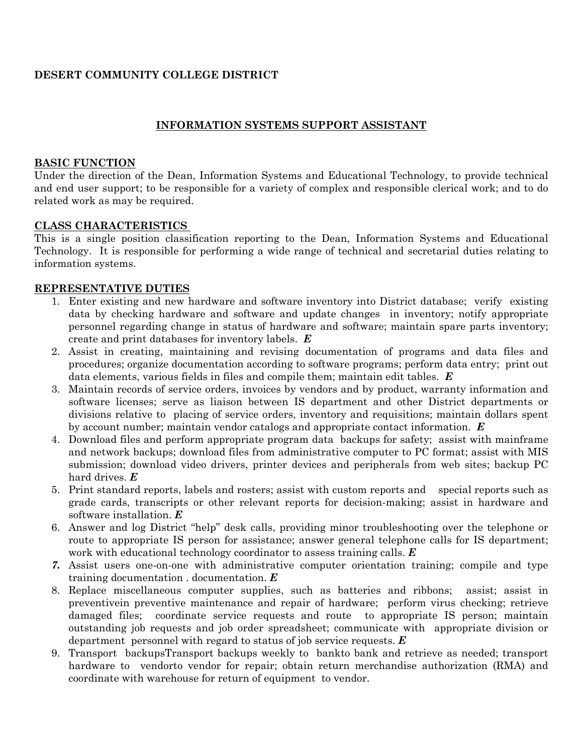# **DESERT COMMUNITY COLLEGE DISTRICT**

# **INFORMATION SYSTEMS SUPPORT ASSISTANT**

## **BASIC FUNCTION**

Under the direction of the Dean, Information Systems and Educational Technology, to provide technical and end user support; to be responsible for a variety of complex and responsible clerical work; and to do related work as may be required.

## **CLASS CHARACTERISTICS**

This is a single position classification reporting to the Dean, Information Systems and Educational Technology. It is responsible for performing a wide range of technical and secretarial duties relating to information systems.

## **REPRESENTATIVE DUTIES**

- 1. Enter existing and new hardware and software inventory into District database; verify existing data by checking hardware and software and update changes in inventory; notify appropriate personnel regarding change in status of hardware and software; maintain spare parts inventory; create and print databases for inventory labels. *E*
- 2. Assist in creating, maintaining and revising documentation of programs and data files and procedures; organize documentation according to software programs; perform data entry; print out data elements, various fields in files and compile them; maintain edit tables. *E*
- 3. Maintain records of service orders, invoices by vendors and by product, warranty information and software licenses; serve as liaison between IS department and other District departments or divisions relative to placing of service orders, inventory and requisitions; maintain dollars spent by account number; maintain vendor catalogs and appropriate contact information. *E*
- 4. Download files and perform appropriate program data backups for safety; assist with mainframe and network backups; download files from administrative computer to PC format; assist with MIS submission; download video drivers, printer devices and peripherals from web sites; backup PC hard drives. *E*
- 5. Print standard reports, labels and rosters; assist with custom reports and special reports such as grade cards, transcripts or other relevant reports for decision-making; assist in hardware and software installation. *E*
- 6. Answer and log District "help" desk calls, providing minor troubleshooting over the telephone or route to appropriate IS person for assistance; answer general telephone calls for IS department; work with educational technology coordinator to assess training calls. *E*
- *7.* Assist users one-on-one with administrative computer orientation training; compile and type training documentation . documentation. *E*
- 8. Replace miscellaneous computer supplies, such as batteries and ribbons; assist; assist in preventivein preventive maintenance and repair of hardware; perform virus checking; retrieve damaged files; coordinate service requests and route to appropriate IS person; maintain outstanding job requests and job order spreadsheet; communicate with appropriate division or department personnel with regard to status of job service requests. *E*
- 9. Transport backupsTransport backups weekly to bankto bank and retrieve as needed; transport hardware to vendorto vendor for repair; obtain return merchandise authorization (RMA) and coordinate with warehouse for return of equipment to vendor.